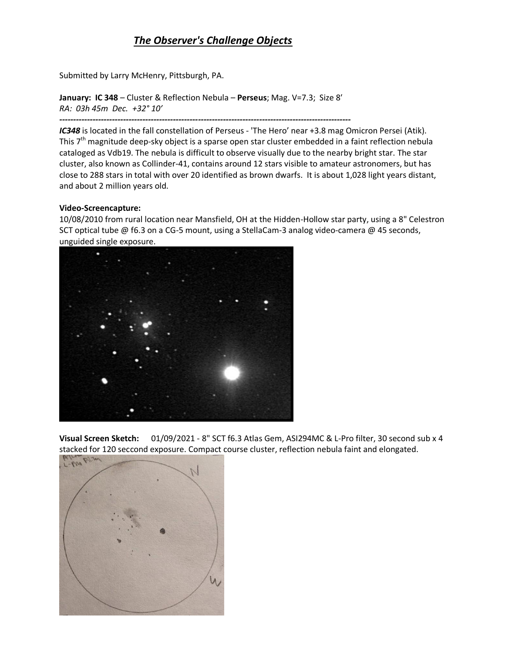## *The Observer's Challenge Objects*

Submitted by Larry McHenry, Pittsburgh, PA.

**January: IC 348** – Cluster & Reflection Nebula – **Perseus**; Mag. V=7.3; Size 8′ *RA: 03h 45m Dec. +32° 10′* 

*--------------------------------------------------------------------------------------------------------- IC348* is located in the fall constellation of Perseus - 'The Hero' near +3.8 mag Omicron Persei (Atik). This 7<sup>th</sup> magnitude deep-sky object is a sparse open star cluster embedded in a faint reflection nebula cataloged as Vdb19. The nebula is difficult to observe visually due to the nearby bright star. The star cluster, also known as Collinder-41, contains around 12 stars visible to amateur astronomers, but has close to 288 stars in total with over 20 identified as brown dwarfs. It is about 1,028 light years distant, and about 2 million years old.

## **Video-Screencapture:**

10/08/2010 from rural location near Mansfield, OH at the Hidden-Hollow star party, using a 8" Celestron SCT optical tube @ f6.3 on a CG-5 mount, using a StellaCam-3 analog video-camera @ 45 seconds, unguided single exposure.



**Visual Screen Sketch:** 01/09/2021 - 8" SCT f6.3 Atlas Gem, ASI294MC & L-Pro filter, 30 second sub x 4 stacked for 120 seccond exposure. Compact course cluster, reflection nebula faint and elongated.